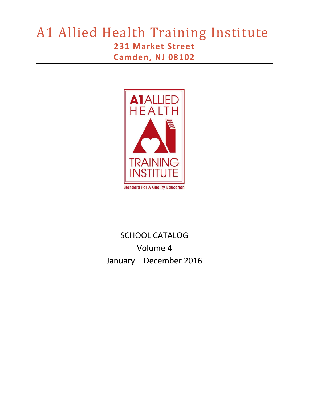# A1 Allied Health Training Institute **231 Market Street Camden, NJ 08102**



# SCHOOL CATALOG Volume 4 January – December 2016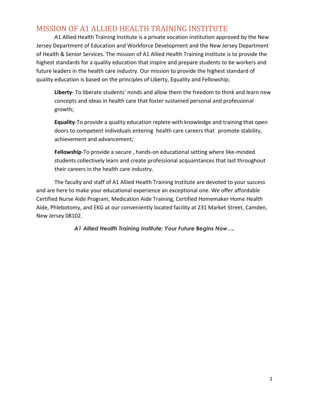# <span id="page-1-0"></span>MISSION OF A1 ALLIED HEALTH TRAINING INSTITUTE

A1 Allied Health Training Institute is a private vocation institution approved by the New Jersey Department of Education and Workforce Development and the New Jersey Department of Health & Senior Services. The mission of A1 Allied Health Training Institute is to provide the highest standards for a quality education that inspire and prepare students to be workers and future leaders in the health care industry. Our mission to provide the highest standard of quality education is based on the principles of Liberty, Equality and Fellowship;

**Liberty**- To liberate students' minds and allow them the freedom to think and learn new concepts and ideas in health care that foster sustained personal and professional growth;

**Equality**-To provide a quality education replete with knowledge and training that open doors to competent individuals entering health care careers that promote stability, achievement and advancement;

**Fellowship**-To provide a secure , hands-on educational setting where like-minded students collectively learn and create professional acquaintances that last throughout their careers in the health care industry.

The faculty and staff of A1 Allied Health Training Institute are devoted to your success and are here to make your educational experience an exceptional one. We offer affordable Certified Nurse Aide Program, Medication Aide Training, Certified Homemaker Home Health Aide, Phlebotomy, and EKG at our conveniently located facility at 231 Market Street, Camden, New Jersey 08102.

*A1 Allied Health Training Institute; Your Future Begins Now….*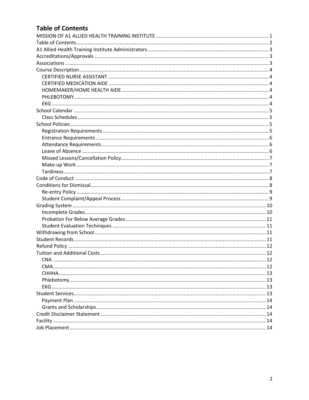# <span id="page-2-0"></span>**Table of Contents**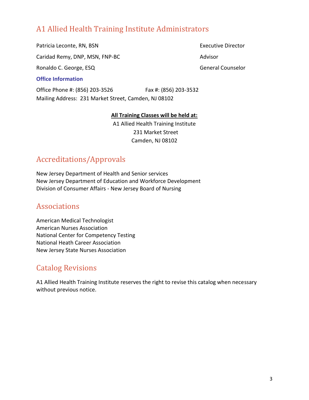# <span id="page-3-0"></span>A1 Allied Health Training Institute Administrators

Patricia Leconte, RN, BSN Executive Director

Caridad Remy, DNP, MSN, FNP-BC Advisor

Ronaldo C. George, ESQ General Counselor

#### **Office Information**

Office Phone #: (856) 203-3526 Fax #: (856) 203-3532 Mailing Address: 231 Market Street, Camden, NJ 08102

#### **All Training Classes will be held at:**

A1 Allied Health Training Institute 231 Market Street Camden, NJ 08102

# <span id="page-3-1"></span>Accreditations/Approvals

New Jersey Department of Health and Senior services New Jersey Department of Education and Workforce Development Division of Consumer Affairs - New Jersey Board of Nursing

# <span id="page-3-2"></span>Associations

American Medical Technologist American Nurses Association National Center for Competency Testing National Heath Career Association New Jersey State Nurses Association

# Catalog Revisions

A1 Allied Health Training Institute reserves the right to revise this catalog when necessary without previous notice.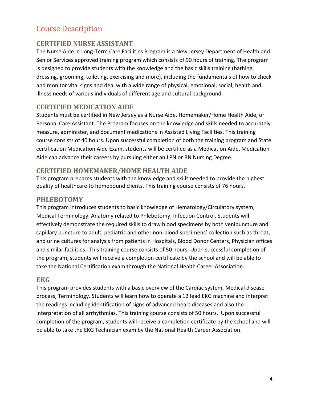# <span id="page-4-0"></span>Course Description

## <span id="page-4-1"></span>**CERTIFIED NURSE ASSISTANT**

The Nurse Aide in Long-Term Care Facilities Program is a New Jersey Department of Health and Senior Services approved training program which consists of 90 hours of training. The program is designed to provide students with the knowledge and the basic skills training (bathing, dressing, grooming, toileting, exercising and more), including the fundamentals of how to check and monitor vital signs and deal with a wide range of physical, emotional, social, health and illness needs of various individuals of different age and cultural background.

## <span id="page-4-2"></span>**CERTIFIED MEDICATION AIDE**

Students must be certified in New Jersey as a Nurse Aide, Homemaker/Home Health Aide, or Personal Care Assistant. The Program focuses on the knowledge and skills needed to accurately measure, administer, and document medications in Assisted Living Facilities. This training course consists of 40 hours. Upon successful completion of both the training program and State certification Medication Aide Exam, students will be certified as a Medication Aide. Medication Aide can advance their careers by pursuing either an LPN or RN Nursing Degree..

## <span id="page-4-3"></span>**CERTIFIED HOMEMAKER/HOME HEALTH AIDE**

This program prepares students with the knowledge and skills needed to provide the highest quality of healthcare to homebound clients. This training course consists of 76 hours.

#### <span id="page-4-4"></span>**PHLEBOTOMY**

This program introduces students to basic knowledge of Hematology/Circulatory system, Medical Terminology, Anatomy related to Phlebotomy, Infection Control. Students will effectively demonstrate the required skills to draw blood specimens by both venipuncture and capillary puncture to adult, pediatric and other non-blood specimens' collection such as throat, and urine cultures for analysis from patients in Hospitals, Blood Donor Centers, Physician offices and similar facilities. This training course consists of 50 hours. Upon successful completion of the program, students will receive a completion certificate by the school and will be able to take the National Certification exam through the National Health Career Association.

#### <span id="page-4-5"></span>**EKG**

This program provides students with a basic overview of the Cardiac system, Medical disease process, Terminology. Students will learn how to operate a 12 lead EKG machine and interpret the readings including identification of signs of advanced heart diseases and also the interpretation of all arrhythmias. This training course consists of 50 hours. Upon successful completion of the program, students will receive a completion certificate by the school and will be able to take the EKG Technician exam by the National Health Career Association.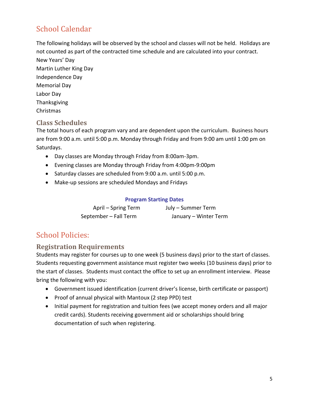# <span id="page-5-0"></span>School Calendar

The following holidays will be observed by the school and classes will not be held. Holidays are not counted as part of the contracted time schedule and are calculated into your contract.

New Years' Day Martin Luther King Day Independence Day Memorial Day Labor Day Thanksgiving Christmas

# <span id="page-5-1"></span>**Class Schedules**

The total hours of each program vary and are dependent upon the curriculum. Business hours are from 9:00 a.m. until 5:00 p.m. Monday through Friday and from 9:00 am until 1:00 pm on Saturdays.

- Day classes are Monday through Friday from 8:00am-3pm.
- Evening classes are Monday through Friday from 4:00pm-9:00pm
- Saturday classes are scheduled from 9:00 a.m. until 5:00 p.m.
- Make-up sessions are scheduled Mondays and Fridays

#### **Program Starting Dates**

| April – Spring Term   | July – Summer Term    |
|-----------------------|-----------------------|
| September - Fall Term | January - Winter Term |

# <span id="page-5-2"></span>School Policies:

## <span id="page-5-3"></span>**Registration Requirements**

Students may register for courses up to one week (5 business days) prior to the start of classes. Students requesting government assistance must register two weeks (10 business days) prior to the start of classes. Students must contact the office to set up an enrollment interview. Please bring the following with you:

- Government issued identification (current driver's license, birth certificate or passport)
- Proof of annual physical with Mantoux (2 step PPD) test
- Initial payment for registration and tuition fees (we accept money orders and all major credit cards). Students receiving government aid or scholarships should bring documentation of such when registering.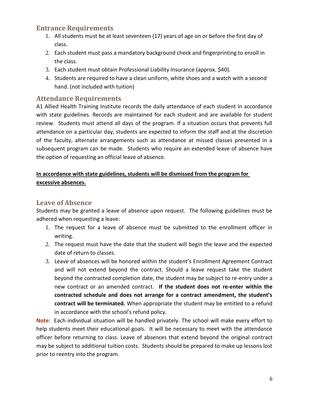## <span id="page-6-0"></span>**Entrance Requirements**

- 1. All students must be at least seventeen (17) years of age on or before the first day of class.
- 2. Each student must pass a mandatory background check and fingerprinting to enroll in the class.
- 3. Each student must obtain Professional Liability Insurance (approx. \$40).
- 4. Students are required to have a clean uniform, white shoes and a watch with a second hand. (not included with tuition)

#### <span id="page-6-1"></span>**Attendance Requirements**

A1 Allied Health Training Institute records the daily attendance of each student in accordance with state guidelines. Records are maintained for each student and are available for student review. Students must attend all days of the program. If a situation occurs that prevents full attendance on a particular day, students are expected to inform the staff and at the discretion of the faculty, alternate arrangements such as attendance at missed classes presented in a subsequent program can be made. Students who require an extended leave of absence have the option of requesting an official leave of absence.

#### **In accordance with state guidelines, students will be dismissed from the program for excessive absences.**

#### <span id="page-6-2"></span>**Leave of Absence**

Students may be granted a leave of absence upon request. The following guidelines must be adhered when requesting a leave:

- 1. The request for a leave of absence must be submitted to the enrollment officer in writing.
- 2. The request must have the date that the student will begin the leave and the expected date of return to classes.
- 3. Leave of absences will be honored within the student's Enrollment Agreement Contract and will not extend beyond the contract. Should a leave request take the student beyond the contracted completion date, the student may be subject to re-entry under a new contract or an amended contract. **If the student does not re-enter within the contracted schedule and does not arrange for a contract amendment, the student's contract will be terminated.** When appropriate the student may be entitled to a refund in accordance with the school's refund policy.

**Note:** Each individual situation will be handled privately. The school will make every effort to help students meet their educational goals. It will be necessary to meet with the attendance officer before returning to class. Leave of absences that extend beyond the original contract may be subject to additional tuition costs. Students should be prepared to make up lessons lost prior to reentry into the program.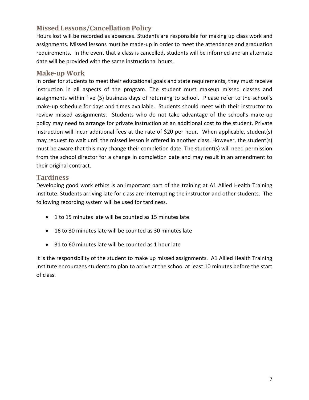# <span id="page-7-0"></span>**Missed Lessons/Cancellation Policy**

Hours lost will be recorded as absences. Students are responsible for making up class work and assignments. Missed lessons must be made-up in order to meet the attendance and graduation requirements. In the event that a class is cancelled, students will be informed and an alternate date will be provided with the same instructional hours.

#### <span id="page-7-1"></span>**Make-up Work**

In order for students to meet their educational goals and state requirements, they must receive instruction in all aspects of the program. The student must makeup missed classes and assignments within five (5) business days of returning to school. Please refer to the school's make-up schedule for days and times available. Students should meet with their instructor to review missed assignments. Students who do not take advantage of the school's make-up policy may need to arrange for private instruction at an additional cost to the student. Private instruction will incur additional fees at the rate of \$20 per hour. When applicable, student(s) may request to wait until the missed lesson is offered in another class. However, the student(s) must be aware that this may change their completion date. The student(s) will need permission from the school director for a change in completion date and may result in an amendment to their original contract.

#### <span id="page-7-2"></span>**Tardiness**

Developing good work ethics is an important part of the training at A1 Allied Health Training Institute. Students arriving late for class are interrupting the instructor and other students. The following recording system will be used for tardiness.

- 1 to 15 minutes late will be counted as 15 minutes late
- 16 to 30 minutes late will be counted as 30 minutes late
- 31 to 60 minutes late will be counted as 1 hour late

It is the responsibility of the student to make up missed assignments. A1 Allied Health Training Institute encourages students to plan to arrive at the school at least 10 minutes before the start of class.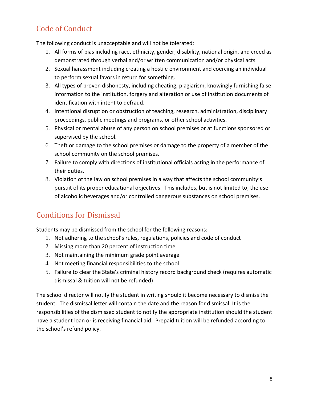# <span id="page-8-0"></span>Code of Conduct

The following conduct is unacceptable and will not be tolerated:

- 1. All forms of bias including race, ethnicity, gender, disability, national origin, and creed as demonstrated through verbal and/or written communication and/or physical acts.
- 2. Sexual harassment including creating a hostile environment and coercing an individual to perform sexual favors in return for something.
- 3. All types of proven dishonesty, including cheating, plagiarism, knowingly furnishing false information to the institution, forgery and alteration or use of institution documents of identification with intent to defraud.
- 4. Intentional disruption or obstruction of teaching, research, administration, disciplinary proceedings, public meetings and programs, or other school activities.
- 5. Physical or mental abuse of any person on school premises or at functions sponsored or supervised by the school.
- 6. Theft or damage to the school premises or damage to the property of a member of the school community on the school premises.
- 7. Failure to comply with directions of institutional officials acting in the performance of their duties.
- 8. Violation of the law on school premises in a way that affects the school community's pursuit of its proper educational objectives. This includes, but is not limited to, the use of alcoholic beverages and/or controlled dangerous substances on school premises.

# <span id="page-8-1"></span>Conditions for Dismissal

Students may be dismissed from the school for the following reasons:

- 1. Not adhering to the school's rules, regulations, policies and code of conduct
- 2. Missing more than 20 percent of instruction time
- 3. Not maintaining the minimum grade point average
- 4. Not meeting financial responsibilities to the school
- 5. Failure to clear the State's criminal history record background check (requires automatic dismissal & tuition will not be refunded)

The school director will notify the student in writing should it become necessary to dismiss the student. The dismissal letter will contain the date and the reason for dismissal. It is the responsibilities of the dismissed student to notify the appropriate institution should the student have a student loan or is receiving financial aid. Prepaid tuition will be refunded according to the school's refund policy.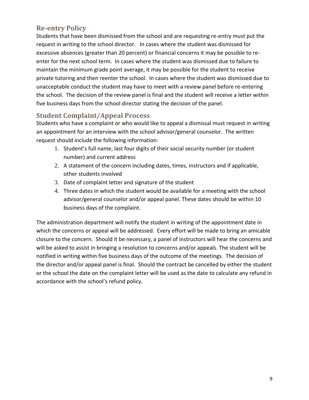# <span id="page-9-0"></span>**Re-entry Policy**

Students that have been dismissed from the school and are requesting re-entry must put the request in writing to the school director. In cases where the student was dismissed for excessive absences (greater than 20 percent) or financial concerns it may be possible to reenter for the next school term. In cases where the student was dismissed due to failure to maintain the minimum grade point average, it may be possible for the student to receive private tutoring and then reenter the school. In cases where the student was dismissed due to unacceptable conduct the student may have to meet with a review panel before re-entering the school. The decision of the review panel is final and the student will receive a letter within five business days from the school director stating the decision of the panel.

## <span id="page-9-1"></span>**Student Complaint/Appeal Process**

Students who have a complaint or who would like to appeal a dismissal must request in writing an appointment for an interview with the school advisor/general counselor. The written request should include the following information:

- 1. Student's full name, last four digits of their social security number (or student number) and current address
- 2. A statement of the concern including dates, times, instructors and if applicable, other students involved
- 3. Date of complaint letter and signature of the student
- 4. Three dates in which the student would be available for a meeting with the school advisor/general counselor and/or appeal panel. These dates should be within 10 business days of the complaint.

The administration department will notify the student in writing of the appointment date in which the concerns or appeal will be addressed. Every effort will be made to bring an amicable closure to the concern. Should it be necessary, a panel of instructors will hear the concerns and will be asked to assist in bringing a resolution to concerns and/or appeals. The student will be notified in writing within five business days of the outcome of the meetings. The decision of the director and/or appeal panel is final. Should the contract be cancelled by either the student or the school the date on the complaint letter will be used as the date to calculate any refund in accordance with the school's refund policy.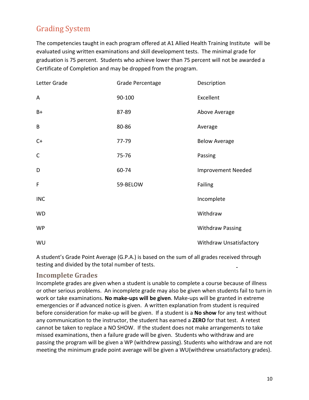# <span id="page-10-0"></span>Grading System

The competencies taught in each program offered at A1 Allied Health Training Institute will be evaluated using written examinations and skill development tests. The minimal grade for graduation is 75 percent. Students who achieve lower than 75 percent will not be awarded a Certificate of Completion and may be dropped from the program.

| Letter Grade | Grade Percentage | Description               |
|--------------|------------------|---------------------------|
| A            | 90-100           | Excellent                 |
| $B+$         | 87-89            | Above Average             |
| B            | 80-86            | Average                   |
| $C+$         | 77-79            | <b>Below Average</b>      |
| $\mathsf C$  | 75-76            | Passing                   |
| D            | 60-74            | <b>Improvement Needed</b> |
| F            | 59-BELOW         | Failing                   |
| <b>INC</b>   |                  | Incomplete                |
| <b>WD</b>    |                  | Withdraw                  |
| <b>WP</b>    |                  | <b>Withdraw Passing</b>   |
| WU           |                  | Withdraw Unsatisfactory   |

A student's Grade Point Average (G.P.A.) is based on the sum of all grades received through testing and divided by the total number of tests.  $\blacksquare$ 

#### <span id="page-10-1"></span>**Incomplete Grades**

Incomplete grades are given when a student is unable to complete a course because of illness or other serious problems. An incomplete grade may also be given when students fail to turn in work or take examinations. **No make-ups will be given**. Make-ups will be granted in extreme emergencies or if advanced notice is given. A written explanation from student is required before consideration for make-up will be given. If a student is a **No show** for any test without any communication to the instructor, the student has earned a **ZERO** for that test. A retest cannot be taken to replace a NO SHOW. If the student does not make arrangements to take missed examinations, then a failure grade will be given. Students who withdraw and are passing the program will be given a WP (withdrew passing). Students who withdraw and are not meeting the minimum grade point average will be given a WU(withdrew unsatisfactory grades).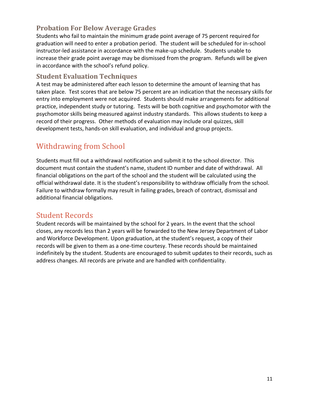# <span id="page-11-0"></span>**Probation For Below Average Grades**

Students who fail to maintain the minimum grade point average of 75 percent required for graduation will need to enter a probation period. The student will be scheduled for in-school instructor-led assistance in accordance with the make-up schedule. Students unable to increase their grade point average may be dismissed from the program. Refunds will be given in accordance with the school's refund policy.

#### <span id="page-11-1"></span>**Student Evaluation Techniques**

A test may be administered after each lesson to determine the amount of learning that has taken place. Test scores that are below 75 percent are an indication that the necessary skills for entry into employment were not acquired. Students should make arrangements for additional practice, independent study or tutoring. Tests will be both cognitive and psychomotor with the psychomotor skills being measured against industry standards. This allows students to keep a record of their progress. Other methods of evaluation may include oral quizzes, skill development tests, hands-on skill evaluation, and individual and group projects.

# <span id="page-11-2"></span>Withdrawing from School

Students must fill out a withdrawal notification and submit it to the school director. This document must contain the student's name, student ID number and date of withdrawal. All financial obligations on the part of the school and the student will be calculated using the official withdrawal date. It is the student's responsibility to withdraw officially from the school. Failure to withdraw formally may result in failing grades, breach of contract, dismissal and additional financial obligations.

# <span id="page-11-3"></span>Student Records

Student records will be maintained by the school for 2 years. In the event that the school closes, any records less than 2 years will be forwarded to the New Jersey Department of Labor and Workforce Development. Upon graduation, at the student's request, a copy of their records will be given to them as a one-time courtesy. These records should be maintained indefinitely by the student. Students are encouraged to submit updates to their records, such as address changes. All records are private and are handled with confidentiality.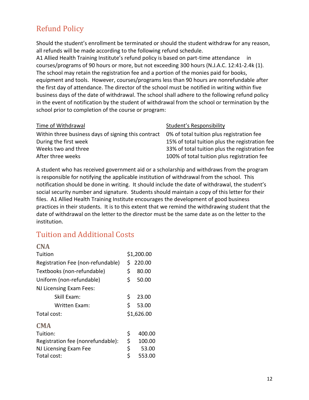# <span id="page-12-0"></span>Refund Policy

Should the student's enrollment be terminated or should the student withdraw for any reason, all refunds will be made according to the following refund schedule.

A1 Allied Health Training Institute's refund policy is based on part-time attendance in courses/programs of 90 hours or more, but not exceeding 300 hours (N.J.A.C. 12:41-2.4k (1). The school may retain the registration fee and a portion of the monies paid for books, equipment and tools. However, courses/programs less than 90 hours are nonrefundable after the first day of attendance. The director of the school must be notified in writing within five business days of the date of withdrawal. The school shall adhere to the following refund policy in the event of notification by the student of withdrawal from the school or termination by the school prior to completion of the course or program:

| Time of Withdrawal                                  | Student's Responsibility                       |
|-----------------------------------------------------|------------------------------------------------|
| Within three business days of signing this contract | 0% of total tuition plus registration fee      |
| During the first week                               | 15% of total tuition plus the registration fee |
| Weeks two and three                                 | 33% of total tuition plus the registration fee |
| After three weeks                                   | 100% of total tuition plus registration fee    |

A student who has received government aid or a scholarship and withdraws from the program is responsible for notifying the applicable institution of withdrawal from the school. This notification should be done in writing. It should include the date of withdrawal, the student's social security number and signature. Students should maintain a copy of this letter for their files. A1 Allied Health Training Institute encourages the development of good business practices in their students. It is to this extent that we remind the withdrawing student that the date of withdrawal on the letter to the director must be the same date as on the letter to the institution.

# <span id="page-12-1"></span>Tuition and Additional Costs

<span id="page-12-3"></span><span id="page-12-2"></span>

| <b>CNA</b>                        |            |        |
|-----------------------------------|------------|--------|
| Tuition                           | \$1,200.00 |        |
| Registration Fee (non-refundable) | Ś          | 220.00 |
| Textbooks (non-refundable)        | \$         | 80.00  |
| Uniform (non-refundable)          | \$         | 50.00  |
| NJ Licensing Exam Fees:           |            |        |
| Skill Exam:                       | \$         | 23.00  |
| Written Exam:                     | \$         | 53.00  |
| Total cost:                       | \$1,626.00 |        |
| <b>CMA</b>                        |            |        |
| Tuition:                          | \$         | 400.00 |
| Registration fee (nonrefundable): | \$         | 100.00 |
| NJ Licensing Exam Fee             | \$         | 53.00  |
| Total cost:                       | \$         | 553.00 |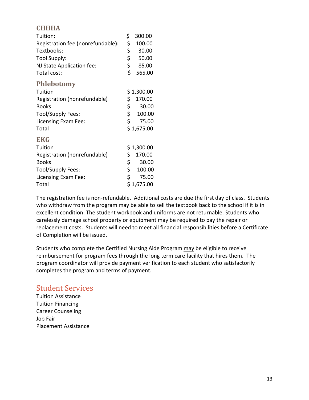## <span id="page-13-0"></span>**CHHHA**

<span id="page-13-1"></span>

| Tuition:                          | \$          | 300.00      |
|-----------------------------------|-------------|-------------|
| Registration fee (nonrefundable): | \$          | 100.00      |
| Textbooks:                        | \$          | 30.00       |
| Tool Supply:                      | \$          | 50.00       |
| NJ State Application fee:         | \$          | 85.00       |
| Total cost:                       | \$          | 565.00      |
| <b>Phlebotomy</b>                 |             |             |
| Tuition                           | \$ 1,300.00 |             |
| Registration (nonrefundable)      | \$.         | 170.00      |
| <b>Books</b>                      | \$          | 30.00       |
| Tool/Supply Fees:                 | \$          | 100.00      |
| Licensing Exam Fee:               | \$          | 75.00       |
| Total                             |             | \$1,675.00  |
| <b>EKG</b>                        |             |             |
| Tuition                           |             | \$ 1,300.00 |
| Registration (nonrefundable)      | \$.         | 170.00      |
| <b>Books</b>                      | \$          | 30.00       |
| Tool/Supply Fees:                 | \$          | 100.00      |
| Licensing Exam Fee:               | \$.         | 75.00       |
| Total                             |             | \$ 1,675.00 |

<span id="page-13-2"></span>The registration fee is non-refundable. Additional costs are due the first day of class. Students who withdraw from the program may be able to sell the textbook back to the school if it is in excellent condition. The student workbook and uniforms are not returnable. Students who carelessly damage school property or equipment may be required to pay the repair or replacement costs. Students will need to meet all financial responsibilities before a Certificate of Completion will be issued.

Students who complete the Certified Nursing Aide Program may be eligible to receive reimbursement for program fees through the long term care facility that hires them. The program coordinator will provide payment verification to each student who satisfactorily completes the program and terms of payment.

# <span id="page-13-3"></span>Student Services

Tuition Assistance Tuition Financing Career Counseling Job Fair Placement Assistance